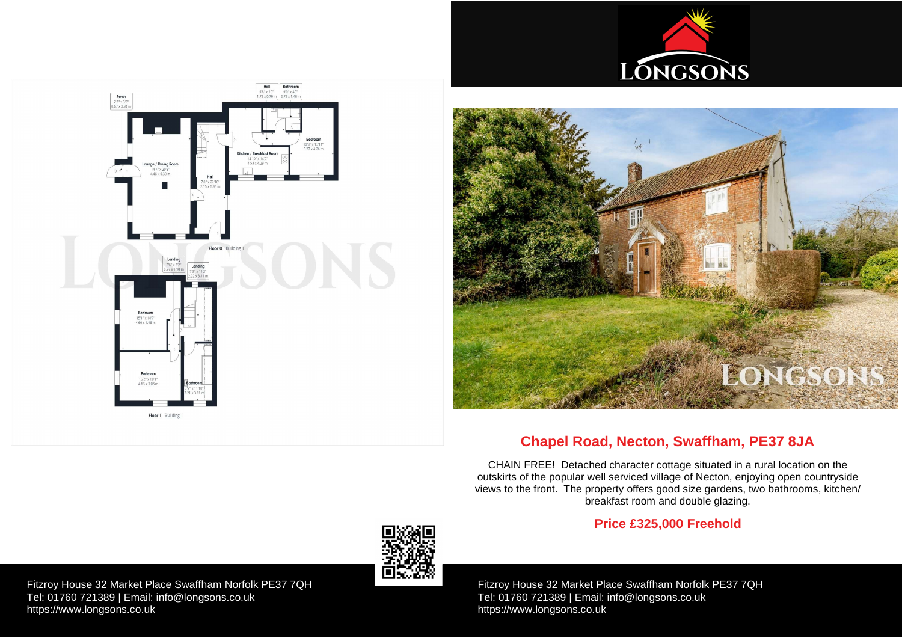Fitzroy House 32 Market Place Swaffham Norfolk PE37 7QH Tel: 01760 721389 | Email: [info@longsons.co.uk](mailto:info@longsons.co.uk) <https://www.longsons.co.uk>

Fitzroy House 32 Market Place Swaffham Norfolk PE37 7QH Tel: 01760 721389 | Email: [info@longsons.co.uk](mailto:info@longsons.co.uk) <https://www.longsons.co.uk>





# **Chapel Road, Necton, Swaffham, PE37 8JA**

CHAIN FREE! Detached character cottage situated in a rural location on the outskirts of the popular well serviced village of Necton, enjoying open countryside views to the front. The property offers good size gardens, two bathrooms, kitchen/ breakfast room and double glazing.

# **Price £325,000 Freehold**